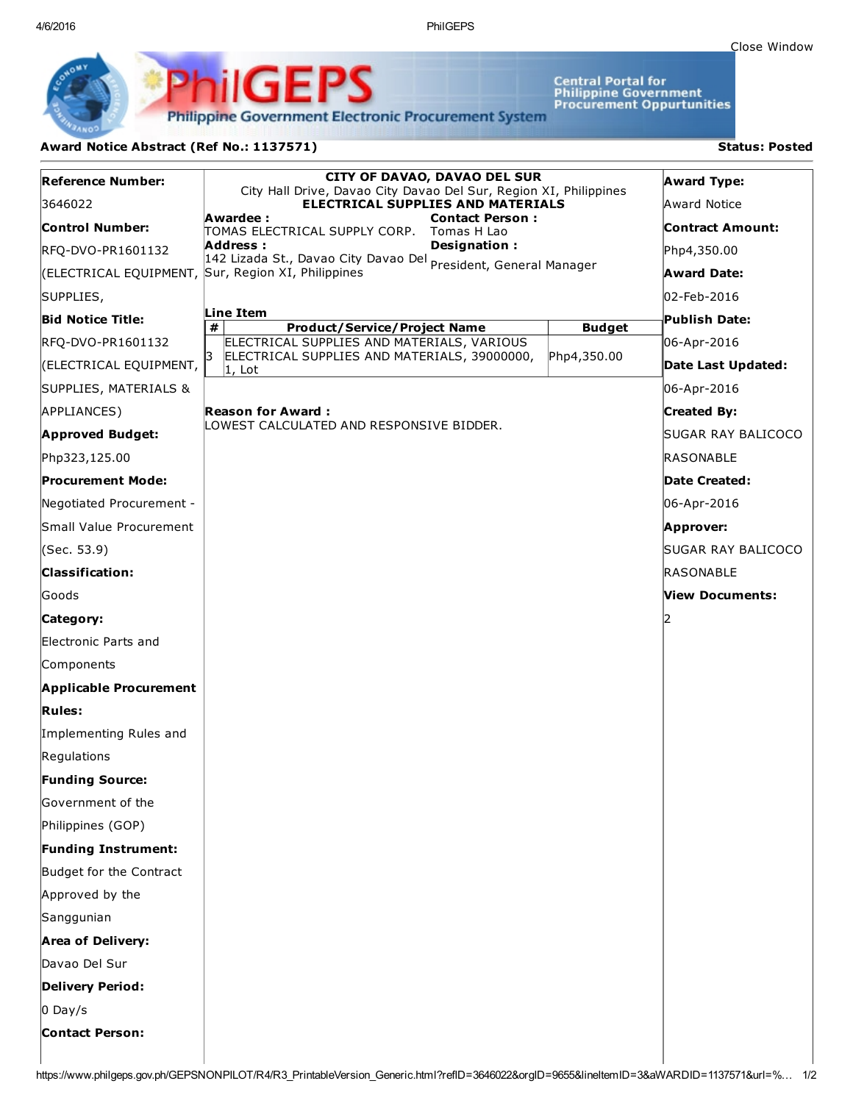4/6/2016 PhilGEPS

Central Portal for<br>Philippine Government<br>Procurement Oppurtunities

**Philippine Government Electronic Procurement System** 

PS

iliGEI

## Award Notice Abstract (Ref No.: 1137571) Status: Posted

Ph

| <b>Reference Number:</b>      | <b>CITY OF DAVAO, DAVAO DEL SUR</b><br>City Hall Drive, Davao City Davao Del Sur, Region XI, Philippines<br><b>ELECTRICAL SUPPLIES AND MATERIALS</b><br>Awardee :<br><b>Contact Person:</b><br>TOMAS ELECTRICAL SUPPLY CORP. Tomas H Lao<br>Designation:<br>Address :<br>Auu: 222 -<br>142 Lizada St., Davao City Davao Del <sub>President, General Manager</sub> |               | <b>Award Type:</b>      |
|-------------------------------|-------------------------------------------------------------------------------------------------------------------------------------------------------------------------------------------------------------------------------------------------------------------------------------------------------------------------------------------------------------------|---------------|-------------------------|
| 3646022                       |                                                                                                                                                                                                                                                                                                                                                                   |               | Award Notice            |
| <b>Control Number:</b>        |                                                                                                                                                                                                                                                                                                                                                                   |               | <b>Contract Amount:</b> |
| RFQ-DVO-PR1601132             |                                                                                                                                                                                                                                                                                                                                                                   |               | Php4,350.00             |
|                               | (ELECTRICAL EQUIPMENT, Sur, Region XI, Philippines                                                                                                                                                                                                                                                                                                                |               | <b>Award Date:</b>      |
| SUPPLIES,                     |                                                                                                                                                                                                                                                                                                                                                                   |               | 02-Feb-2016             |
| <b>Bid Notice Title:</b>      | Line Item<br>#<br><b>Product/Service/Project Name</b>                                                                                                                                                                                                                                                                                                             | <b>Budget</b> | <b>Publish Date:</b>    |
| RFQ-DVO-PR1601132             | ELECTRICAL SUPPLIES AND MATERIALS, VARIOUS                                                                                                                                                                                                                                                                                                                        |               | 06-Apr-2016             |
| (ELECTRICAL EQUIPMENT,        | 3<br>ELECTRICAL SUPPLIES AND MATERIALS, 39000000,<br>$ 1,$ Lot                                                                                                                                                                                                                                                                                                    | Php4,350.00   | Date Last Updated:      |
| SUPPLIES, MATERIALS &         |                                                                                                                                                                                                                                                                                                                                                                   |               | 06-Apr-2016             |
| APPLIANCES)                   | <b>Reason for Award:</b>                                                                                                                                                                                                                                                                                                                                          |               | <b>Created By:</b>      |
| <b>Approved Budget:</b>       | LOWEST CALCULATED AND RESPONSIVE BIDDER.                                                                                                                                                                                                                                                                                                                          |               | SUGAR RAY BALICOCO      |
| Php323,125.00                 |                                                                                                                                                                                                                                                                                                                                                                   |               | <b>RASONABLE</b>        |
| <b>Procurement Mode:</b>      |                                                                                                                                                                                                                                                                                                                                                                   |               | Date Created:           |
| Negotiated Procurement -      |                                                                                                                                                                                                                                                                                                                                                                   |               | 06-Apr-2016             |
| Small Value Procurement       |                                                                                                                                                                                                                                                                                                                                                                   |               | Approver:               |
| (Sec. 53.9)                   |                                                                                                                                                                                                                                                                                                                                                                   |               | SUGAR RAY BALICOCO      |
| <b>Classification:</b>        |                                                                                                                                                                                                                                                                                                                                                                   |               | RASONABLE               |
| Goods                         |                                                                                                                                                                                                                                                                                                                                                                   |               | View Documents:         |
| Category:                     |                                                                                                                                                                                                                                                                                                                                                                   |               |                         |
| Electronic Parts and          |                                                                                                                                                                                                                                                                                                                                                                   |               |                         |
| Components                    |                                                                                                                                                                                                                                                                                                                                                                   |               |                         |
| <b>Applicable Procurement</b> |                                                                                                                                                                                                                                                                                                                                                                   |               |                         |
| <b>Rules:</b>                 |                                                                                                                                                                                                                                                                                                                                                                   |               |                         |
| Implementing Rules and        |                                                                                                                                                                                                                                                                                                                                                                   |               |                         |
| Regulations                   |                                                                                                                                                                                                                                                                                                                                                                   |               |                         |
| <b>Funding Source:</b>        |                                                                                                                                                                                                                                                                                                                                                                   |               |                         |
| Government of the             |                                                                                                                                                                                                                                                                                                                                                                   |               |                         |
| Philippines (GOP)             |                                                                                                                                                                                                                                                                                                                                                                   |               |                         |
| <b>Funding Instrument:</b>    |                                                                                                                                                                                                                                                                                                                                                                   |               |                         |
| Budget for the Contract       |                                                                                                                                                                                                                                                                                                                                                                   |               |                         |
| Approved by the               |                                                                                                                                                                                                                                                                                                                                                                   |               |                         |
| Sanggunian                    |                                                                                                                                                                                                                                                                                                                                                                   |               |                         |
| <b>Area of Delivery:</b>      |                                                                                                                                                                                                                                                                                                                                                                   |               |                         |
| Davao Del Sur                 |                                                                                                                                                                                                                                                                                                                                                                   |               |                         |
| <b>Delivery Period:</b>       |                                                                                                                                                                                                                                                                                                                                                                   |               |                         |
| $0$ Day/s                     |                                                                                                                                                                                                                                                                                                                                                                   |               |                         |
| <b>Contact Person:</b>        |                                                                                                                                                                                                                                                                                                                                                                   |               |                         |
|                               |                                                                                                                                                                                                                                                                                                                                                                   |               |                         |